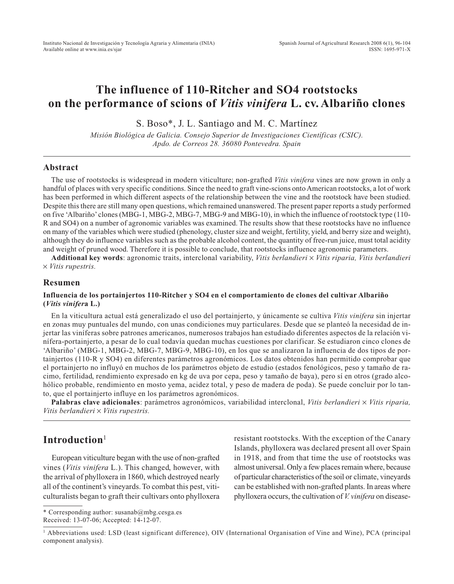# **The influence of 110-Ritcher and SO4 rootstocks on the performance of scions of** *Vitis vinifera* **L. cv. Albariño clones**

S. Boso\*, J. L. Santiago and M. C. Martínez

*Misión Biológica de Galicia. Consejo Superior de Investigaciones Científicas (CSIC). Apdo. de Correos 28. 36080 Pontevedra. Spain*

## **Abstract**

The use of rootstocks is widespread in modern viticulture; non-grafted *Vitis vinifera* vines are now grown in only a handful of places with very specific conditions. Since the need to graft vine-scions onto American rootstocks, a lot of work has been performed in which different aspects of the relationship between the vine and the rootstock have been studied. Despite this there are still many open questions, which remained unanswered. The present paper reports a study performed on five 'Albariño'clones (MBG-1, MBG-2, MBG-7, MBG-9 and MBG-10), in which the influence of rootstock type (110- R and SO4) on a number of agronomic variables was examined. The results show that these rootstocks have no influence on many of the variables which were studied (phenology, cluster size and weight, fertility, yield, and berry size and weight), although they do influence variables such as the probable alcohol content, the quantity of free-run juice, must total acidity and weight of pruned wood. Therefore it is possible to conclude, that rootstocks influence agronomic parameters.

**Additional key words**: agronomic traits, interclonal variability, *Vitis berlandieri* × *Vitis riparia, Vitis berlandieri* × *Vitis rupestris.*

## **Resumen**

#### **Influencia de los portainjertos 110-Ritcher y SO4 en el comportamiento de clones del cultivar Albariño (***Vitis vinifer***a L.)**

En la viticultura actual está generalizado el uso del portainjerto, y únicamente se cultiva *Vitis vinifera* sin injertar en zonas muy puntuales del mundo, con unas condiciones muy particulares. Desde que se planteó la necesidad de injertar las viníferas sobre patrones americanos, numerosos trabajos han estudiado diferentes aspectos de la relación vinífera-portainjerto, a pesar de lo cual todavía quedan muchas cuestiones por clarificar. Se estudiaron cinco clones de 'Albariño' (MBG-1, MBG-2, MBG-7, MBG-9, MBG-10), en los que se analizaron la influencia de dos tipos de portainjertos (110-R y SO4) en diferentes parámetros agronómicos. Los datos obtenidos han permitido comprobar que el portainjerto no influyó en muchos de los parámetros objeto de estudio (estados fenológicos, peso y tamaño de racimo, fertilidad, rendimiento expresado en kg de uva por cepa, peso y tamaño de baya), pero sí en otros (grado alcohólico probable, rendimiento en mosto yema, acidez total, y peso de madera de poda). Se puede concluir por lo tanto, que el portainjerto influye en los parámetros agronómicos.

**Palabras clave adicionales**: parámetros agronómicos, variabilidad interclonal, *Vitis berlandieri* × *Vitis riparia, Vitis berlandieri* × *Vitis rupestris.*

# **Introduction**<sup>1</sup>

European viticulture began with the use of non-grafted vines (*Vitis vinifera* L.). This changed, however, with the arrival of phylloxera in 1860, which destroyed nearly all of the continent's vineyards. To combat this pest, viticulturalists began to graft their cultivars onto phylloxera

resistant rootstocks. With the exception of the Canary Islands, phylloxera was declared present all over Spain in 1918, and from that time the use of rootstocks was almost universal. Only a few places remain where, because of particular characteristics of the soil or climate, vineyards can be established with non-grafted plants. In areas where phylloxera occurs, the cultivation of *V. vinifera* on disease-

<sup>\*</sup> Corresponding author: susanab@mbg.cesga.es Received: 13-07-06; Accepted: 14-12-07.

<sup>1</sup> Abbreviations used: LSD (least significant difference), OIV (International Organisation of Vine and Wine), PCA (principal component analysis).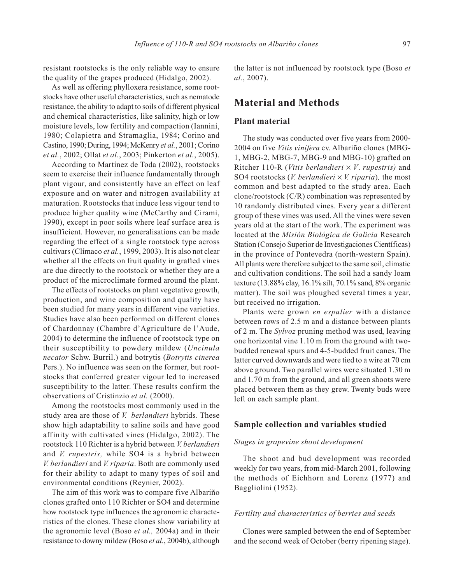resistant rootstocks is the only reliable way to ensure the quality of the grapes produced (Hidalgo, 2002).

As well as offering phylloxera resistance, some rootstocks have other useful characteristics, such as nematode resistance, the ability to adapt to soils of different physical and chemical characteristics, like salinity, high or low moisture levels, low fertility and compaction (Iannini, 1980; Colapietra and Stramaglia, 1984; Corino and Castino, 1990; During, 1994; McKenry *et al.*, 2001; Corino *et al.*, 2002; Ollat *et al.*, 2003; Pinkerton *et al.*, 2005).

According to Martínez de Toda (2002), rootstocks seem to exercise their influence fundamentally through plant vigour, and consistently have an effect on leaf exposure and on water and nitrogen availability at maturation. Rootstocks that induce less vigour tend to produce higher quality wine (McCarthy and Cirami, 1990), except in poor soils where leaf surface area is insufficient. However, no generalisations can be made regarding the effect of a single rootstock type across cultivars (Clímaco *et al.*, 1999, 2003). It is also not clear whether all the effects on fruit quality in grafted vines are due directly to the rootstock or whether they are a product of the microclimate formed around the plant.

The effects of rootstocks on plant vegetative growth, production, and wine composition and quality have been studied for many years in different vine varieties. Studies have also been performed on different clones of Chardonnay (Chambre d'Agriculture de l'Aude, 2004) to determine the influence of rootstock type on their susceptibility to powdery mildew (*Uncinula necator* Schw. Burril.) and botrytis (*Botrytis cinerea* Pers.). No influence was seen on the former, but rootstocks that conferred greater vigour led to increased susceptibility to the latter. These results confirm the observations of Cristinzio *et al.* (2000).

Among the rootstocks most commonly used in the study area are those of *V. berlandieri* hybrids. These show high adaptability to saline soils and have good affinity with cultivated vines (Hidalgo, 2002). The rootstock 110 Richter is a hybrid between *V. berlandieri* and *V. rupestris,* while SO4 is a hybrid between *V. berlandieri* and *V. riparia*. Both are commonly used for their ability to adapt to many types of soil and environmental conditions (Reynier, 2002).

The aim of this work was to compare five Albariño clones grafted onto 110 Richter or SO4 and determine how rootstock type influences the agronomic characteristics of the clones. These clones show variability at the agronomic level (Boso *et al.,* 2004a) and in their resistance to downy mildew (Boso *et al.*, 2004b), although

the latter is not influenced by rootstock type (Boso *et al.*, 2007).

# **Material and Methods**

### **Plant material**

The study was conducted over five years from 2000- 2004 on five *Vitis vinifera* cv. Albariño clones (MBG-1, MBG-2, MBG-7, MBG-9 and MBG-10) grafted on Ritcher 110-R (*Vitis berlandieri* × *V*. *rupestris)* and SO4 rootstocks (*V. berlandieri* × *V. riparia*)*,* the most common and best adapted to the study area. Each clone/rootstock (C/R) combination was represented by 10 randomly distributed vines. Every year a different group of these vines was used. All the vines were seven years old at the start of the work. The experiment was located at the *Misión Biológica de Galicia* Research Station (Consejo Superior de Investigaciones Científicas) in the province of Pontevedra (north-western Spain). All plants were therefore subject to the same soil, climatic and cultivation conditions. The soil had a sandy loam texture (13.88% clay, 16.1% silt, 70.1% sand, 8% organic matter). The soil was ploughed several times a year, but received no irrigation.

Plants were grown *en espalier* with a distance between rows of 2.5 m and a distance between plants of 2 m. The *Sylvoz* pruning method was used, leaving one horizontal vine 1.10 m from the ground with twobudded renewal spurs and 4-5-budded fruit canes. The latter curved downwards and were tied to a wire at 70 cm above ground. Two parallel wires were situated 1.30 m and 1.70 m from the ground, and all green shoots were placed between them as they grew. Twenty buds were left on each sample plant.

#### **Sample collection and variables studied**

#### *Stages in grapevine shoot development*

The shoot and bud development was recorded weekly for two years, from mid-March 2001, following the methods of Eichhorn and Lorenz (1977) and Baggliolini (1952).

#### *Fertility and characteristics of berries and seeds*

Clones were sampled between the end of September and the second week of October (berry ripening stage).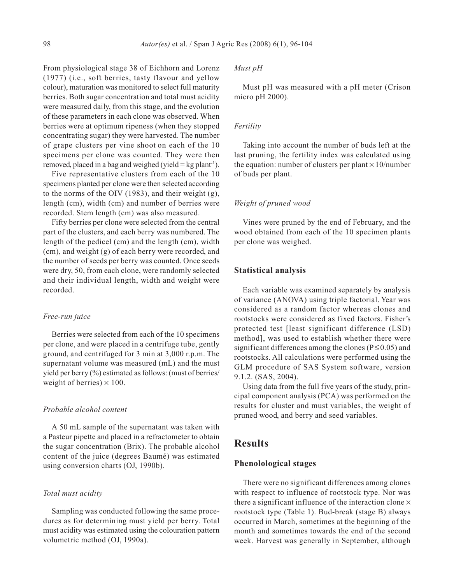From physiological stage 38 of Eichhorn and Lorenz (1977) (i.e., soft berries, tasty flavour and yellow colour), maturation was monitored to select full maturity berries. Both sugar concentration and total must acidity were measured daily, from this stage, and the evolution of these parameters in each clone was observed. When berries were at optimum ripeness (when they stopped concentrating sugar) they were harvested. The number of grape clusters per vine shoot on each of the 10 specimens per clone was counted. They were then removed, placed in a bag and weighed (yield =  $kg$  plant<sup>-1</sup>).

Five representative clusters from each of the 10 specimens planted per clone were then selected according to the norms of the OIV (1983), and their weight (g), length (cm), width (cm) and number of berries were recorded. Stem length (cm) was also measured.

Fifty berries per clone were selected from the central part of the clusters, and each berry was numbered. The length of the pedicel (cm) and the length (cm), width (cm), and weight (g) of each berry were recorded, and the number of seeds per berry was counted. Once seeds were dry, 50, from each clone, were randomly selected and their individual length, width and weight were recorded.

#### *Free-run juice*

Berries were selected from each of the 10 specimens per clone, and were placed in a centrifuge tube, gently ground, and centrifuged for 3 min at 3,000 r.p.m. The supernatant volume was measured (mL) and the must yield per berry (%) estimated as follows: (must of berries/ weight of berries)  $\times$  100.

## *Probable alcohol content*

A 50 mL sample of the supernatant was taken with a Pasteur pipette and placed in a refractometer to obtain the sugar concentration (Brix). The probable alcohol content of the juice (degrees Baumé) was estimated using conversion charts (OJ, 1990b).

#### *Total must acidity*

Sampling was conducted following the same procedures as for determining must yield per berry. Total must acidity was estimated using the colouration pattern volumetric method (OJ, 1990a).

#### *Must pH*

Must pH was measured with a pH meter (Crison micro pH 2000).

#### *Fertility*

Taking into account the number of buds left at the last pruning, the fertility index was calculated using the equation: number of clusters per plant  $\times$  10/number of buds per plant.

#### *Weight of pruned wood*

Vines were pruned by the end of February, and the wood obtained from each of the 10 specimen plants per clone was weighed.

# **Statistical analysis**

Each variable was examined separately by analysis of variance (ANOVA) using triple factorial. Year was considered as a random factor whereas clones and rootstocks were considered as fixed factors. Fisher's protected test [least significant difference (LSD) method], was used to establish whether there were significant differences among the clones (P≤0.05) and rootstocks. All calculations were performed using the GLM procedure of SAS System software, version 9.1.2. (SAS, 2004).

Using data from the full five years of the study, principal component analysis (PCA) was performed on the results for cluster and must variables, the weight of pruned wood, and berry and seed variables.

# **Results**

### **Phenolological stages**

There were no significant differences among clones with respect to influence of rootstock type. Nor was there a significant influence of the interaction clone  $\times$ rootstock type (Table 1). Bud-break (stage B) always occurred in March, sometimes at the beginning of the month and sometimes towards the end of the second week. Harvest was generally in September, although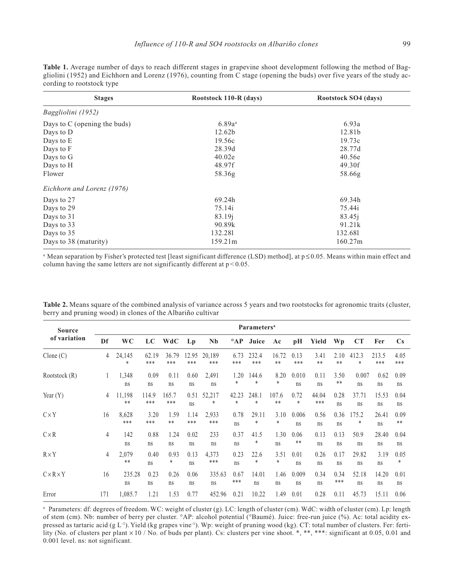**Table 1.** Average number of days to reach different stages in grapevine shoot development following the method of Baggliolini (1952) and Eichhorn and Lorenz (1976), counting from C stage (opening the buds) over five years of the study according to rootstock type

| <b>Stages</b>                | Rootstock 110-R (days) | Rootstock SO4 (days) |
|------------------------------|------------------------|----------------------|
| Baggliolini (1952)           |                        |                      |
| Days to C (opening the buds) | $6.89a^{a}$            | 6.93a                |
| Days to D                    | 12.62b                 | 12.81b               |
| Days to E                    | 19.56c                 | 19.73c               |
| Days to F                    | 28.39d                 | 28.77d               |
| Days to G                    | 40.02e                 | 40.56e               |
| Days to H                    | 48.97f                 | 49.30f               |
| Flower                       | 58.36g                 | 58.66g               |
| Eichhorn and Lorenz (1976)   |                        |                      |
| Days to 27                   | 69.24h                 | 69.34h               |
| Days to 29                   | 75.14i                 | 75.44i               |
| Days to 31                   | 83.19j                 | 83.45i               |
| Days to 33                   | 90.89k                 | 91.21k               |
| Days to 35                   | 132.281                | 132.681              |
| Days to 38 (maturity)        | 159.21m                | 160.27m              |

<sup>a</sup> Mean separation by Fisher's protected test [least significant difference (LSD) method], at  $p \le 0.05$ . Means within main effect and column having the same letters are not significantly different at  $p < 0.05$ .

| <b>Source</b><br>of variation | <b>Parameters</b> <sup>a</sup> |                 |              |               |              |               |              |                 |                |                |              |             |             |              |                        |
|-------------------------------|--------------------------------|-----------------|--------------|---------------|--------------|---------------|--------------|-----------------|----------------|----------------|--------------|-------------|-------------|--------------|------------------------|
|                               | Df                             | <b>WC</b>       | LC           | <b>WdC</b>    | $L_{p}$      | <b>Nb</b>     | $^{\circ}AP$ | Juice           | Ac             | pH             | Yield        | Wp          | CT          | Fer          | $\mathbf{C}\mathbf{s}$ |
| $C$ lone $(C)$                | 4                              | 24,145<br>*     | 62.19<br>*** | 36.79<br>***  | 12.95<br>*** | 20,189<br>*** | 6.73<br>***  | 232.4<br>***    | 16.72<br>$***$ | 0.13<br>***    | 3.41<br>**   | 2.10<br>**  | 412.3<br>*  | 213.5<br>*** | 4.05<br>***            |
| Rootstock (R)                 | 1                              | 1,348<br>ns     | 0.09<br>ns   | 0.11<br>ns    | 0.60<br>ns   | 2,491<br>ns   | 1.20<br>*    | 144.6<br>$\ast$ | 8.20<br>*      | 0.010<br>ns    | 0.11<br>ns   | 3.50<br>**  | 0.007<br>ns | 0.62<br>ns   | 0.09<br>ns             |
| Year $(Y)$                    | 4                              | 11,198<br>$***$ | 114.9<br>*** | 165.7<br>***  | 0.51<br>ns   | 52,217<br>*   | 42.23<br>*   | 248.1<br>*      | 107.6<br>$***$ | 0.72<br>$\ast$ | 44.04<br>*** | 0.28<br>ns  | 37.71<br>ns | 15.53<br>ns  | 0.04<br>ns             |
| $C \times Y$                  | 16                             | 8,628<br>***    | 3.20<br>***  | 1.59<br>$***$ | 1.14<br>***  | 2,933<br>***  | 0.78<br>ns   | 29.11<br>*      | 3.10<br>*      | 0.006<br>ns    | 0.56<br>ns   | 0.36<br>ns  | 175.2<br>*  | 26.41<br>ns  | 0.09<br>$***$          |
| $C \times R$                  | $\overline{4}$                 | 142<br>ns       | 0.88<br>ns   | 1.24<br>ns    | 0.02<br>ns   | 233<br>ns     | 0.37<br>ns   | 41.5<br>*       | 1.30<br>ns     | 0.06<br>$***$  | 0.13<br>ns   | 0.13<br>ns  | 50.9<br>ns  | 28.40<br>ns  | 0.04<br>ns             |
| $R \times Y$                  | 4                              | 2,079<br>$***$  | 0.40<br>ns   | 0.93<br>*     | 0.13<br>ns   | 4,373<br>***  | 0.23<br>ns   | 22.6<br>*       | 3.51<br>*      | 0.01<br>ns     | 0.26<br>ns   | 0.17<br>ns  | 29.82<br>ns | 3.19<br>ns   | 0.05<br>*              |
| $C \times R \times Y$         | 16                             | 235.28<br>ns    | 0.23<br>ns   | 0.26<br>ns    | 0.06<br>ns   | 335.63<br>ns  | 0.67<br>***  | 14.01<br>ns     | 1.46<br>ns     | 0.009<br>ns    | 0.34<br>ns   | 0.34<br>*** | 52.18<br>ns | 14.20<br>ns  | 0.01<br>ns             |
| Error                         | 171                            | 1,085.7         | 1.21         | 1.53          | 0.77         | 452.96        | 0.21         | 10.22           | 1.49           | 0.01           | 0.28         | 0.11        | 45.73       | 15.11        | 0.06                   |

**Table 2.** Means square of the combined analysis of variance across 5 years and two rootstocks for agronomic traits (cluster, berry and pruning wood) in clones of the Albariño cultivar

<sup>a</sup> Parameters: df: degrees of freedom. WC: weight of cluster (g). LC: length of cluster (cm). WdC: width of cluster (cm). Lp: length of stem (cm). Nb: number of berry per cluster. °AP: alcohol potential (°Baumé). Juice: free-run juice (%). Ac: total acidity expressed as tartaric acid (g L<sup>-1</sup>). Yield (kg grapes vine<sup>-1</sup>). Wp: weight of pruning wood (kg). CT: total number of clusters. Fer: fertility (No. of clusters per plant × 10 / No. of buds per plant). Cs: clusters per vine shoot. \*, \*\*, \*\*\*: significant at 0.05, 0.01 and 0.001 level. ns: not significant.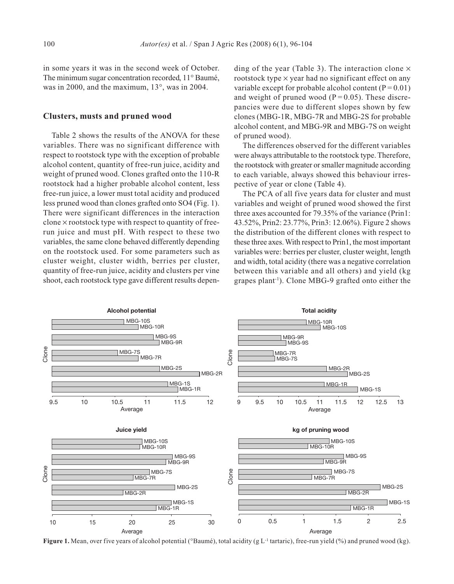in some years it was in the second week of October. The minimum sugar concentration recorded, 11° Baumé, was in 2000, and the maximum, 13°, was in 2004.

#### **Clusters, musts and pruned wood**

Table 2 shows the results of the ANOVA for these variables. There was no significant difference with respect to rootstock type with the exception of probable alcohol content, quantity of free-run juice, acidity and weight of pruned wood. Clones grafted onto the 110-R rootstock had a higher probable alcohol content, less free-run juice, a lower must total acidity and produced less pruned wood than clones grafted onto SO4 (Fig. 1). There were significant differences in the interaction clone  $\times$  rootstock type with respect to quantity of freerun juice and must pH. With respect to these two variables, the same clone behaved differently depending on the rootstock used. For some parameters such as cluster weight, cluster width, berries per cluster, quantity of free-run juice, acidity and clusters per vine shoot, each rootstock type gave different results depending of the year (Table 3). The interaction clone  $\times$ rootstock type  $\times$  year had no significant effect on any variable except for probable alcohol content ( $P = 0.01$ ) and weight of pruned wood ( $P = 0.05$ ). These discrepancies were due to different slopes shown by few clones (MBG-1R, MBG-7R and MBG-2S for probable alcohol content, and MBG-9R and MBG-7S on weight of pruned wood).

The differences observed for the different variables were always attributable to the rootstock type. Therefore, the rootstock with greater or smaller magnitude according to each variable, always showed this behaviour irrespective of year or clone (Table 4).

The PCA of all five years data for cluster and must variables and weight of pruned wood showed the first three axes accounted for 79.35% of the variance (Prin1: 43.52%, Prin2: 23.77%, Prin3: 12.06%). Figure 2 shows the distribution of the different clones with respect to these three axes. With respect to Prin1, the most important variables were: berries per cluster, cluster weight, length and width, total acidity (there was a negative correlation between this variable and all others) and yield (kg grapes plant-1). Clone MBG-9 grafted onto either the



**Figure 1.** Mean, over five years of alcohol potential (°Baumé), total acidity (g L<sup>-1</sup> tartaric), free-run yield (%) and pruned wood (kg).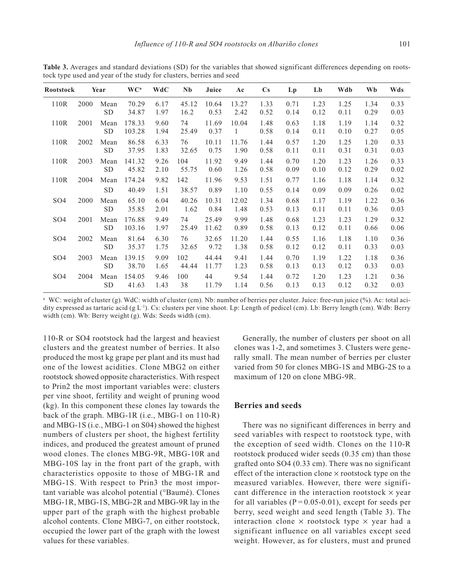| <b>Rootstock</b> |      | Year              | WC <sup>a</sup>  | <b>WdC</b>   | <b>Nb</b>     | Juice          | A <sub>c</sub> | $\mathbf{C}\mathbf{s}$ | Lp           | Lb           | Wdb          | Wb           | Wds          |
|------------------|------|-------------------|------------------|--------------|---------------|----------------|----------------|------------------------|--------------|--------------|--------------|--------------|--------------|
| 110R             | 2000 | Mean<br><b>SD</b> | 70.29<br>34.87   | 6.17<br>1.97 | 45.12<br>16.2 | 10.64<br>0.53  | 13.27<br>2.42  | 1.33<br>0.52           | 0.71<br>0.14 | 1.23<br>0.12 | 1.25<br>0.11 | 1.34<br>0.29 | 0.33<br>0.03 |
| 110R             | 2001 | Mean<br><b>SD</b> | 178.33<br>103.28 | 9.60<br>1.94 | 74<br>25.49   | 11.69<br>0.37  | 10.04<br>1     | 1.48<br>0.58           | 0.63<br>0.14 | 1.18<br>0.11 | 1.19<br>0.10 | 1.14<br>0.27 | 0.32<br>0.05 |
| 110R             | 2002 | Mean<br>SD.       | 86.58<br>37.95   | 6.33<br>1.83 | 76<br>32.65   | 10.11<br>0.75  | 11.76<br>1.90  | 1.44<br>0.58           | 0.57<br>0.11 | 1.20<br>0.11 | 1.25<br>0.31 | 1.20<br>0.31 | 0.33<br>0.03 |
| 110R             | 2003 | Mean<br><b>SD</b> | 141.32<br>45.82  | 9.26<br>2.10 | 104<br>55.75  | 11.92<br>0.60  | 9.49<br>1.26   | 1.44<br>0.58           | 0.70<br>0.09 | 1.20<br>0.10 | 1.23<br>0.12 | 1.26<br>0.29 | 0.33<br>0.02 |
| 110R             | 2004 | Mean<br><b>SD</b> | 174.24<br>40.49  | 9.82<br>1.51 | 142<br>38.57  | 11.96<br>0.89  | 9.53<br>1.10   | 1.51<br>0.55           | 0.77<br>0.14 | 1.16<br>0.09 | 1.18<br>0.09 | 1.14<br>0.26 | 0.32<br>0.02 |
| SO <sub>4</sub>  | 2000 | Mean<br><b>SD</b> | 65.10<br>35.85   | 6.04<br>2.01 | 40.26<br>1.62 | 10.31<br>0.84  | 12.02<br>1.48  | 1.34<br>0.53           | 0.68<br>0.13 | 1.17<br>0.11 | 1.19<br>0.11 | 1.22<br>0.36 | 0.36<br>0.03 |
| SO <sub>4</sub>  | 2001 | Mean<br>SD.       | 176.88<br>103.16 | 9.49<br>1.97 | 74<br>25.49   | 25.49<br>11.62 | 9.99<br>0.89   | 1.48<br>0.58           | 0.68<br>0.13 | 1.23<br>0.12 | 1.23<br>0.11 | 1.29<br>0.66 | 0.32<br>0.06 |
| SO <sub>4</sub>  | 2002 | Mean<br><b>SD</b> | 81.64<br>35.37   | 6.30<br>1.75 | 76<br>32.65   | 32.65<br>9.72  | 11.20<br>1.38  | 1.44<br>0.58           | 0.55<br>0.12 | 1.16<br>0.12 | 1.18<br>0.11 | 1.10<br>0.33 | 0.36<br>0.03 |
| SO <sub>4</sub>  | 2003 | Mean<br><b>SD</b> | 139.15<br>38.70  | 9.09<br>1.65 | 102<br>44.44  | 44.44<br>11.77 | 9.41<br>1.23   | 1.44<br>0.58           | 0.70<br>0.13 | 1.19<br>0.13 | 1.22<br>0.12 | 1.18<br>0.33 | 0.36<br>0.03 |
| SO <sub>4</sub>  | 2004 | Mean<br><b>SD</b> | 154.05<br>41.63  | 9.46<br>1.43 | 100<br>38     | 44<br>11.79    | 9.54<br>1.14   | 1.44<br>0.56           | 0.72<br>0.13 | 1.20<br>0.13 | 1.23<br>0.12 | 1.21<br>0.32 | 0.36<br>0.03 |

**Table 3.** Averages and standard deviations (SD) for the variables that showed significant differences depending on rootstock type used and year of the study for clusters, berries and seed

<sup>a</sup> WC: weight of cluster (g). WdC: width of cluster (cm). Nb: number of berries per cluster. Juice: free-run juice (%). Ac: total acidity expressed as tartaric acid (g L-1). Cs: clusters per vine shoot. Lp: Length of pedicel (cm). Lb: Berry length (cm). Wdb: Berry width (cm). Wb: Berry weight (g). Wds: Seeds width (cm).

110-R or SO4 rootstock had the largest and heaviest clusters and the greatest number of berries. It also produced the most kg grape per plant and its must had one of the lowest acidities. Clone MBG2 on either rootstock showed opposite characteristics. With respect to Prin2 the most important variables were: clusters per vine shoot, fertility and weight of pruning wood (kg). In this component these clones lay towards the back of the graph. MBG-1R (i.e., MBG-1 on 110-R) and MBG-1S (i.e., MBG-1 on S04) showed the highest numbers of clusters per shoot, the highest fertility indices, and produced the greatest amount of pruned wood clones. The clones MBG-9R, MBG-10R and MBG-10S lay in the front part of the graph, with characteristics opposite to those of MBG-1R and MBG-1S. With respect to Prin3 the most important variable was alcohol potential (°Baumé). Clones MBG-1R, MBG-1S, MBG-2R and MBG-9R lay in the upper part of the graph with the highest probable alcohol contents. Clone MBG-7, on either rootstock, occupied the lower part of the graph with the lowest values for these variables.

Generally, the number of clusters per shoot on all clones was 1-2, and sometimes 3. Clusters were generally small. The mean number of berries per cluster varied from 50 for clones MBG-1S and MBG-2S to a maximum of 120 on clone MBG-9R.

#### **Berries and seeds**

There was no significant differences in berry and seed variables with respect to rootstock type, with the exception of seed width. Clones on the 110-R rootstock produced wider seeds (0.35 cm) than those grafted onto SO4 (0.33 cm). There was no significant effect of the interaction clone  $\times$  rootstock type on the measured variables. However, there were significant difference in the interaction rootstock  $\times$  year for all variables ( $P = 0.05 - 0.01$ ), except for seeds per berry, seed weight and seed length (Table 3). The interaction clone  $\times$  rootstock type  $\times$  year had a significant influence on all variables except seed weight. However, as for clusters, must and pruned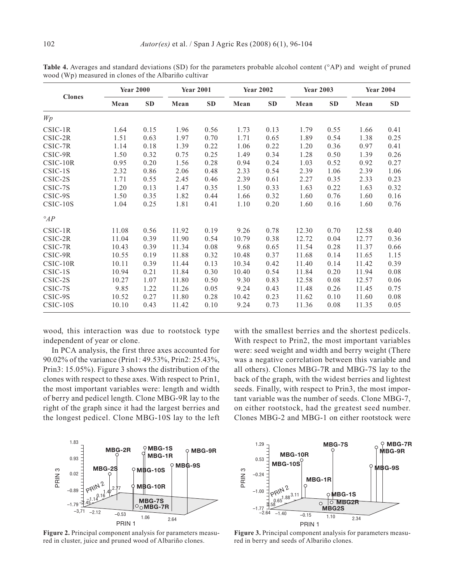|               |       | <b>Year 2000</b> |       | <b>Year 2001</b> |       | <b>Year 2002</b> | <b>Year 2003</b> |      | <b>Year 2004</b> |      |  |
|---------------|-------|------------------|-------|------------------|-------|------------------|------------------|------|------------------|------|--|
| <b>Clones</b> | Mean  | SD               | Mean  | SD               | Mean  | <b>SD</b>        | Mean             | SD   | Mean             | SD   |  |
| Wp            |       |                  |       |                  |       |                  |                  |      |                  |      |  |
| $CSIC-1R$     | 1.64  | 0.15             | 1.96  | 0.56             | 1.73  | 0.13             | 1.79             | 0.55 | 1.66             | 0.41 |  |
| $CSIC-2R$     | 1.51  | 0.63             | 1.97  | 0.70             | 1.71  | 0.65             | 1.89             | 0.54 | 1.38             | 0.25 |  |
| CSIC-7R       | 1.14  | 0.18             | 1.39  | 0.22             | 1.06  | 0.22             | 1.20             | 0.36 | 0.97             | 0.41 |  |
| CSIC-9R       | 1.50  | 0.32             | 0.75  | 0.25             | 1.49  | 0.34             | 1.28             | 0.50 | 1.39             | 0.26 |  |
| $CSIC-10R$    | 0.95  | 0.20             | 1.56  | 0.28             | 0.94  | 0.24             | 1.03             | 0.52 | 0.92             | 0.27 |  |
| CSIC-1S       | 2.32  | 0.86             | 2.06  | 0.48             | 2.33  | 0.54             | 2.39             | 1.06 | 2.39             | 1.06 |  |
| CSIC-2S       | 1.71  | 0.55             | 2.45  | 0.46             | 2.39  | 0.61             | 2.27             | 0.35 | 2.33             | 0.23 |  |
| CSIC-7S       | 1.20  | 0.13             | 1.47  | 0.35             | 1.50  | 0.33             | 1.63             | 0.22 | 1.63             | 0.32 |  |
| CSIC-9S       | 1.50  | 0.35             | 1.82  | 0.44             | 1.66  | 0.32             | 1.60             | 0.76 | 1.60             | 0.16 |  |
| CSIC-10S      | 1.04  | 0.25             | 1.81  | 0.41             | 1.10  | 0.20             | 1.60             | 0.16 | 1.60             | 0.76 |  |
| $\circ_{AP}$  |       |                  |       |                  |       |                  |                  |      |                  |      |  |
| $CSIC-1R$     | 11.08 | 0.56             | 11.92 | 0.19             | 9.26  | 0.78             | 12.30            | 0.70 | 12.58            | 0.40 |  |
| CSIC-2R       | 11.04 | 0.39             | 11.90 | 0.54             | 10.79 | 0.38             | 12.72            | 0.04 | 12.77            | 0.36 |  |
| $CSIC-7R$     | 10.43 | 0.39             | 11.34 | 0.08             | 9.68  | 0.65             | 11.54            | 0.28 | 11.37            | 0.66 |  |
| CSIC-9R       | 10.55 | 0.19             | 11.88 | 0.32             | 10.48 | 0.37             | 11.68            | 0.14 | 11.65            | 1.15 |  |
| $CSIC-10R$    | 10.11 | 0.39             | 11.44 | 0.13             | 10.34 | 0.42             | 11.40            | 0.14 | 11.42            | 0.39 |  |
| CSIC-1S       | 10.94 | 0.21             | 11.84 | 0.30             | 10.40 | 0.54             | 11.84            | 0.20 | 11.94            | 0.08 |  |
| CSIC-2S       | 10.27 | 1.07             | 11.80 | 0.50             | 9.30  | 0.83             | 12.58            | 0.08 | 12.57            | 0.06 |  |
| CSIC-7S       | 9.85  | 1.22             | 11.26 | 0.05             | 9.24  | 0.43             | 11.48            | 0.26 | 11.45            | 0.75 |  |
| CSIC-9S       | 10.52 | 0.27             | 11.80 | 0.28             | 10.42 | 0.23             | 11.62            | 0.10 | 11.60            | 0.08 |  |
| $CSIC-10S$    | 10.10 | 0.43             | 11.42 | 0.10             | 9.24  | 0.73             | 11.36            | 0.08 | 11.35            | 0.05 |  |

**Table 4.** Averages and standard deviations (SD) for the parameters probable alcohol content (°AP) and weight of pruned wood (Wp) measured in clones of the Albariño cultivar

wood, this interaction was due to rootstock type independent of year or clone.

In PCA analysis, the first three axes accounted for 90.02% of the variance (Prin1: 49.53%, Prin2: 25.43%, Prin3: 15.05%). Figure 3 shows the distribution of the clones with respect to these axes. With respect to Prin1, the most important variables were: length and width of berry and pedicel length. Clone MBG-9R lay to the right of the graph since it had the largest berries and the longest pedicel. Clone MBG-10S lay to the left

with the smallest berries and the shortest pedicels. With respect to Prin2, the most important variables were: seed weight and width and berry weight (There was a negative correlation between this variable and all others). Clones MBG-7R and MBG-7S lay to the back of the graph, with the widest berries and lightest seeds. Finally, with respect to Prin3, the most important variable was the number of seeds. Clone MBG-7, on either rootstock, had the greatest seed number. Clones MBG-2 and MBG-1 on either rootstock were



**Figure 2.** Principal component analysis for parameters measured in cluster, juice and pruned wood of Albariño clones.



**Figure 3.** Principal component analysis for parameters measured in berry and seeds of Albariño clones.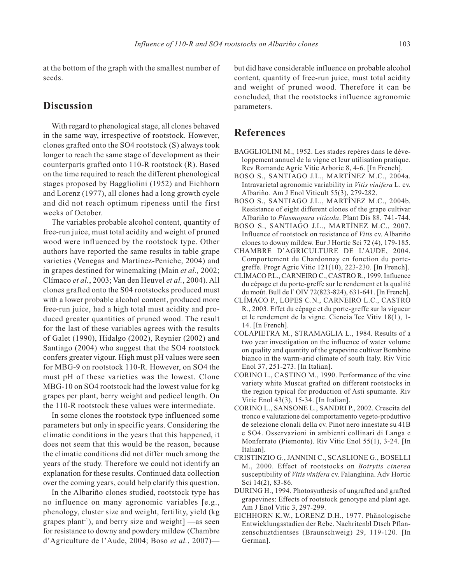at the bottom of the graph with the smallest number of seeds.

# **Discussion**

With regard to phenological stage, all clones behaved in the same way, irrespective of rootstock. However, clones grafted onto the SO4 rootstock (S) always took longer to reach the same stage of development as their counterparts grafted onto 110-R rootstock (R). Based on the time required to reach the different phenological stages proposed by Baggliolini (1952) and Eichhorn and Lorenz (1977), all clones had a long growth cycle and did not reach optimum ripeness until the first weeks of October.

The variables probable alcohol content, quantity of free-run juice, must total acidity and weight of pruned wood were influenced by the rootstock type. Other authors have reported the same results in table grape varieties (Venegas and Martínez-Peniche, 2004) and in grapes destined for winemaking (Main *et al.,* 2002; Clímaco *et al.*, 2003; Van den Heuvel *et al.*, 2004). All clones grafted onto the S04 rootstocks produced must with a lower probable alcohol content, produced more free-run juice, had a high total must acidity and produced greater quantities of pruned wood. The result for the last of these variables agrees with the results of Galet (1990), Hidalgo (2002), Reynier (2002) and Santiago (2004) who suggest that the SO4 rootstock confers greater vigour. High must pH values were seen for MBG-9 on rootstock 110-R. However, on SO4 the must pH of these varieties was the lowest. Clone MBG-10 on SO4 rootstock had the lowest value for kg grapes per plant, berry weight and pedicel length. On the 110-R rootstock these values were intermediate.

In some clones the rootstock type influenced some parameters but only in specific years. Considering the climatic conditions in the years that this happened, it does not seem that this would be the reason, because the climatic conditions did not differ much among the years of the study. Therefore we could not identify an explanation for these results. Continued data collection over the coming years, could help clarify this question.

In the Albariño clones studied, rootstock type has no influence on many agronomic variables [e.g., phenology, cluster size and weight, fertility, yield (kg grapes plant<sup>-1</sup>), and berry size and weight $]$  —as seen for resistance to downy and powdery mildew (Chambre d'Agriculture de l'Aude, 2004; Boso *et al.*, 2007)—

but did have considerable influence on probable alcohol content, quantity of free-run juice, must total acidity and weight of pruned wood. Therefore it can be concluded, that the rootstocks influence agronomic parameters.

# **References**

- BAGGLIOLINI M., 1952. Les stades repères dans le développement annuel de la vigne et leur utilisation pratique. Rev Romande Agric Vitic Arboric 8, 4-6. [In French].
- BOSO S., SANTIAGO J.L., MARTÍNEZ M.C., 2004a. Intravarietal agronomic variability in *Vitis vinifera* L. cv. Albariño*.* Am J Enol Viticult 55(3), 279-282.
- BOSO S., SANTIAGO J.L., MARTÍNEZ M.C., 2004b. Resistance of eight different clones of the grape cultivar Albariño to *Plasmopara viticola*. Plant Dis 88, 741-744.
- BOSO S., SANTIAGO J.L., MARTÍNEZ M.C., 2007. Influence of rootstock on resistance of *Vitis* cv. Albariño clones to downy mildew. Eur J Hortic Sci 72 (4), 179-185.
- CHAMBRE D'AGRICULTURE DE L'AUDE, 2004. Comportement du Chardonnay en fonction du portegreffe. Progr Agric Vitic 121(10), 223-230. [In French].
- CLÍMACO P.L., CARNEIRO C., CASTRO R., 1999. Influence du cépage et du porte-greffe sur le rendement et la qualité du moût. Bull de l'OIV 72(823-824), 631-641. [In French].
- CLÍMACO P., LOPES C.N., CARNEIRO L.C., CASTRO R., 2003. Effet du cépage et du porte-greffe sur la vigueur et le rendement de la vigne. Ciencia Tec Vitiv 18(1), 1- 14. [In French].
- COLAPIETRA M., STRAMAGLIA L., 1984. Results of a two year investigation on the influence of water volume on quality and quantity of the grapevine cultivar Bombino bianco in the warm-arid climate of south Italy. Riv Vitic Enol 37, 251-273. [In Italian].
- CORINO L., CASTINO M., 1990. Performance of the vine variety white Muscat grafted on different rootstocks in the region typical for production of Asti spumante. Riv Vitic Enol 43(3), 15-34. [In Italian].
- CORINO L., SANSONE L., SANDRI P., 2002. Crescita del tronco e valutazione del comportamento vegeto-produttivo de selezione clonali della cv. Pinot nero innestate su 41B e SO4. Osservazioni in ambienti collinari di Langa e Monferrato (Piemonte). Riv Vitic Enol 55(1), 3-24. [In Italian].
- CRISTINZIO G., JANNINI C., SCASLIONE G., BOSELLI M., 2000. Effect of rootstocks on *Botrytis cinerea* susceptibility of *Vitis vinifera* cv. Falanghina. Adv Hortic Sci 14(2), 83-86.
- DURING H., 1994. Photosynthesis of ungrafted and grafted grapevines: Effects of rootstock genotype and plant age. Am J Enol Vitic 3, 297-299.
- EICHHORN K.W., LORENZ D.H., 1977. Phänologische Entwicklungsstadien der Rebe. Nachritenbl Dtsch Pflanzenschuztdientses (Braunschweig) 29, 119-120. [In German].